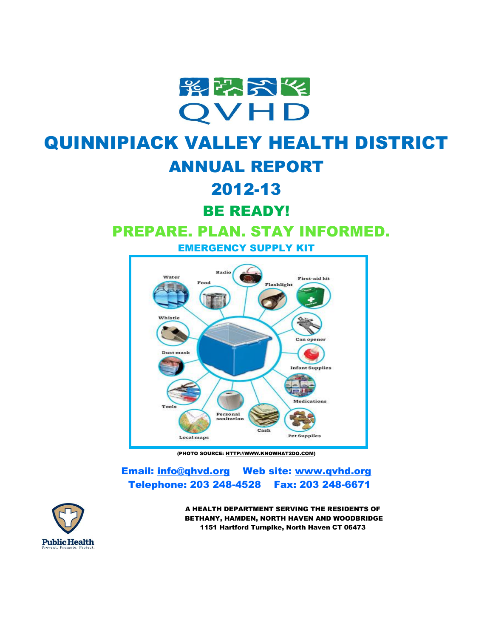

# QUINNIPIACK VALLEY HEALTH DISTRICT ANNUAL REPORT

# 2012-13

BE READY!

# PREPARE. PLAN. STAY INFORMED.

EMERGENCY SUPPLY KIT



(PHOTO SOURCE[: HTTP://WWW.KNOWHAT2DO.COM\)](http://www.knowhat2do.com/)

Email: [info@qhvd.org](mailto:info@qhvd.org) Web site: [www.qvhd.org](http://www.qvhd.org/) Telephone: 203 248-4528 Fax: 203 248-6671



A HEALTH DEPARTMENT SERVING THE RESIDENTS OF BETHANY, HAMDEN, NORTH HAVEN AND WOODBRIDGE 1151 Hartford Turnpike, North Haven CT 06473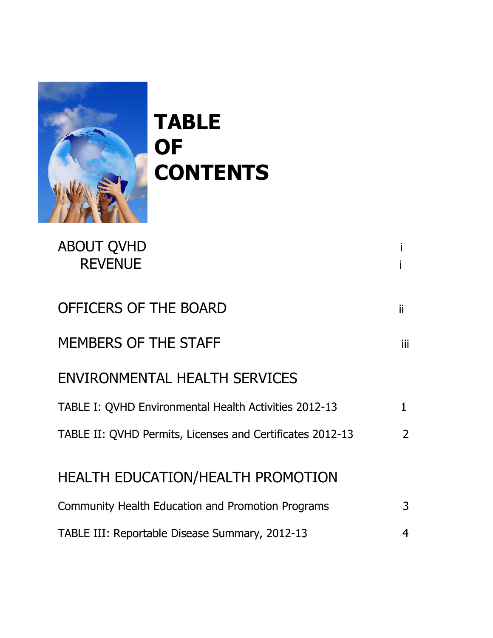

**TABLE OF CONTENTS**

| <b>ABOUT QVHD</b><br><b>REVENUE</b>                       |                |
|-----------------------------------------------------------|----------------|
| OFFICERS OF THE BOARD                                     | ii             |
| <b>MEMBERS OF THE STAFF</b>                               | Ϊij            |
| ENVIRONMENTAL HEALTH SERVICES                             |                |
| TABLE I: QVHD Environmental Health Activities 2012-13     | $\mathbf 1$    |
| TABLE II: QVHD Permits, Licenses and Certificates 2012-13 | $\overline{2}$ |
| <b>HEALTH EDUCATION/HEALTH PROMOTION</b>                  |                |
| Community Health Education and Promotion Programs         | 3              |
| TABLE III: Reportable Disease Summary, 2012-13            | 4              |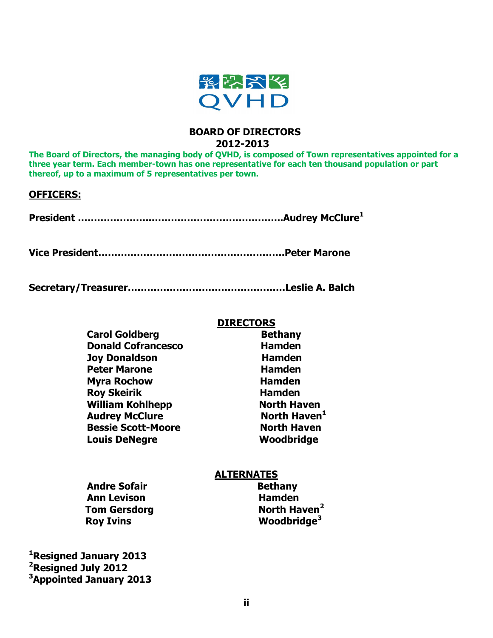

## **BOARD OF DIRECTORS 2012-2013**

**The Board of Directors, the managing body of QVHD, is composed of Town representatives appointed for a three year term. Each member-town has one representative for each ten thousand population or part thereof, up to a maximum of 5 representatives per town.** 

### **OFFICERS:**

**President …………………..…………………………………..Audrey McClure<sup>1</sup>**

**Vice President………………………………………………….Peter Marone** 

**Secretary/Treasurer………………………………………….Leslie A. Balch**

### **DIRECTORS**

| <b>Carol Goldberg</b>     | <b>Bethany</b>           |
|---------------------------|--------------------------|
| <b>Donald Cofrancesco</b> | <b>Hamden</b>            |
| Joy Donaldson             | <b>Hamden</b>            |
| <b>Peter Marone</b>       | <b>Hamden</b>            |
| <b>Myra Rochow</b>        | <b>Hamden</b>            |
| <b>Roy Skeirik</b>        | <b>Hamden</b>            |
| <b>William Kohlhepp</b>   | <b>North Haven</b>       |
| <b>Audrey McClure</b>     | North Haven <sup>1</sup> |
| <b>Bessie Scott-Moore</b> | <b>North Haven</b>       |
| <b>Louis DeNegre</b>      | Woodbridge               |

### **ALTERNATES**

| <b>Andre Sofair</b> | <b>Bethany</b>           |
|---------------------|--------------------------|
| <b>Ann Levison</b>  | <b>Hamden</b>            |
| <b>Tom Gersdorg</b> | North Haven <sup>2</sup> |
| <b>Roy Ivins</b>    | Woodbridge <sup>3</sup>  |

**<sup>1</sup>Resigned January 2013 <sup>2</sup>Resigned July 2012 <sup>3</sup>Appointed January 2013** **Bethany North Haven<sup>2</sup>**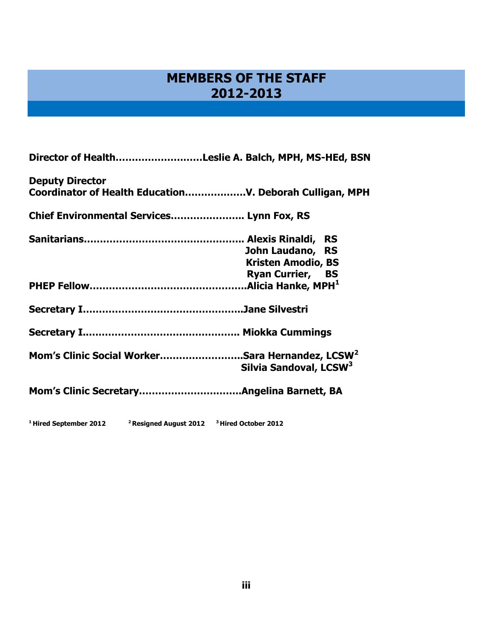## **MEMBERS OF THE STAFF 2012-2013**

| Director of HealthLeslie A. Balch, MPH, MS-HEd, BSN         |                                    |
|-------------------------------------------------------------|------------------------------------|
| <b>Deputy Director</b>                                      |                                    |
| Chief Environmental Services Lynn Fox, RS                   |                                    |
|                                                             |                                    |
|                                                             | John Laudano, RS                   |
|                                                             | <b>Kristen Amodio, BS</b>          |
|                                                             | <b>Ryan Currier, BS</b>            |
|                                                             |                                    |
|                                                             |                                    |
|                                                             |                                    |
| Mom's Clinic Social WorkerSara Hernandez, LCSW <sup>2</sup> | Silvia Sandoval, LCSW <sup>3</sup> |
|                                                             |                                    |
|                                                             |                                    |

**<sup>1</sup>Hired September 2012 <sup>2</sup>Resigned August 2012 <sup>3</sup>Hired October 2012**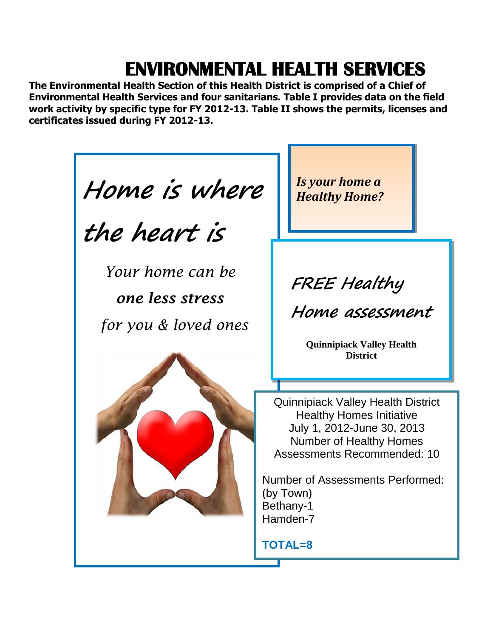# **ENVIRONMENTAL HEALTH SERVICES**

**The Environmental Health Section of this Health District is comprised of a Chief of Environmental Health Services and four sanitarians. Table I provides data on the field work activity by specific type for FY 2012-13. Table II shows the permits, licenses and certificates issued during FY 2012-13.** 

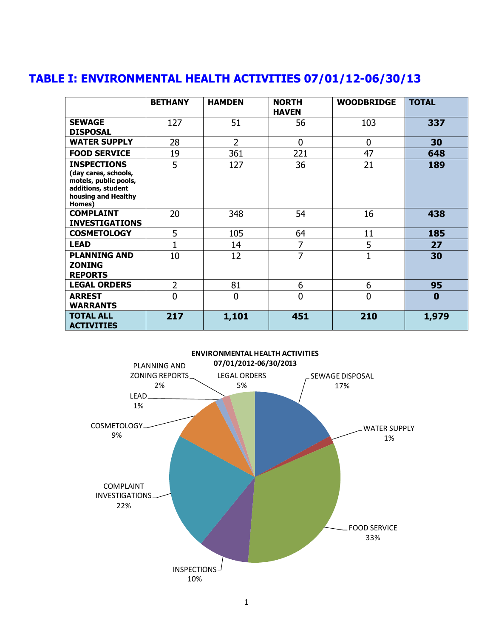|                                                                                                                            | <b>BETHANY</b> | <b>HAMDEN</b> | <b>NORTH</b><br><b>HAVEN</b> | <b>WOODBRIDGE</b> | <b>TOTAL</b> |
|----------------------------------------------------------------------------------------------------------------------------|----------------|---------------|------------------------------|-------------------|--------------|
| <b>SEWAGE</b><br><b>DISPOSAL</b>                                                                                           | 127            | 51            | 56                           | 103               | 337          |
| <b>WATER SUPPLY</b>                                                                                                        | 28             | 2             | $\overline{0}$               | $\mathbf{0}$      | 30           |
| <b>FOOD SERVICE</b>                                                                                                        | 19             | 361           | 221                          | 47                | 648          |
| <b>INSPECTIONS</b><br>(day cares, schools,<br>motels, public pools,<br>additions, student<br>housing and Healthy<br>Homes) | 5              | 127           | 36                           | 21                | 189          |
| <b>COMPLAINT</b><br><b>INVESTIGATIONS</b>                                                                                  | 20             | 348           | 54                           | 16                | 438          |
| <b>COSMETOLOGY</b>                                                                                                         | 5              | 105           | 64                           | 11                | 185          |
| <b>LEAD</b>                                                                                                                |                | 14            | 7                            | 5                 | 27           |
| <b>PLANNING AND</b><br><b>ZONING</b><br><b>REPORTS</b>                                                                     | 10             | 12            | 7                            | $\mathbf{1}$      | 30           |
| <b>LEGAL ORDERS</b>                                                                                                        | 2              | 81            | 6                            | 6                 | 95           |
| <b>ARREST</b><br><b>WARRANTS</b>                                                                                           | 0              | 0             | $\overline{0}$               | $\Omega$          | $\bf{0}$     |
| <b>TOTAL ALL</b><br><b>ACTIVITIES</b>                                                                                      | 217            | 1,101         | 451                          | 210               | 1,979        |

## **TABLE I: ENVIRONMENTAL HEALTH ACTIVITIES 07/01/12-06/30/13**

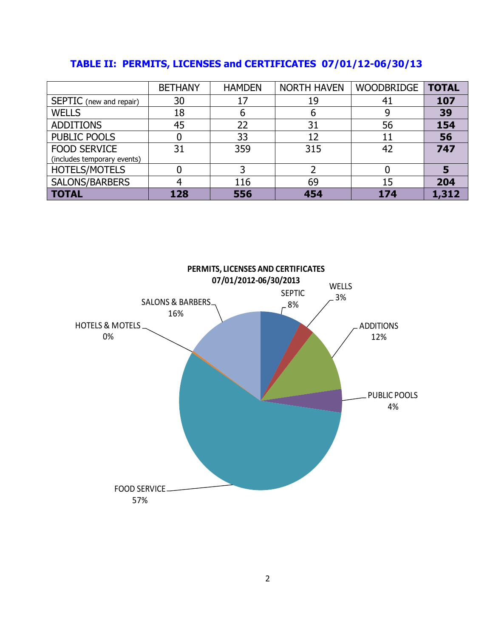|  |  |  | TABLE II: PERMITS, LICENSES and CERTIFICATES 07/01/12-06/30/13 |
|--|--|--|----------------------------------------------------------------|
|--|--|--|----------------------------------------------------------------|

|                             | <b>BETHANY</b> | <b>HAMDEN</b> | <b>NORTH HAVEN</b> | WOODBRIDGE | <b>TOTAL</b> |
|-----------------------------|----------------|---------------|--------------------|------------|--------------|
| SEPTIC (new and repair)     | 30             | 17            | 19                 | 41         | 107          |
| <b>WELLS</b>                | 18             | b             |                    |            | 39           |
| <b>ADDITIONS</b>            | 45             | 22            | 31                 | 56         | 154          |
| PUBLIC POOLS                |                | 33            | 12                 | 11         | 56           |
| <b>FOOD SERVICE</b>         | 31             | 359           | 315                | 42         | 747          |
| (includes temporary events) |                |               |                    |            |              |
| <b>HOTELS/MOTELS</b>        |                |               |                    |            | 5            |
| SALONS/BARBERS              |                | 116           | 69                 | 15         | 204          |
| <b>TOTAL</b>                | 128            | 556           | 454                | 174        | 1,312        |

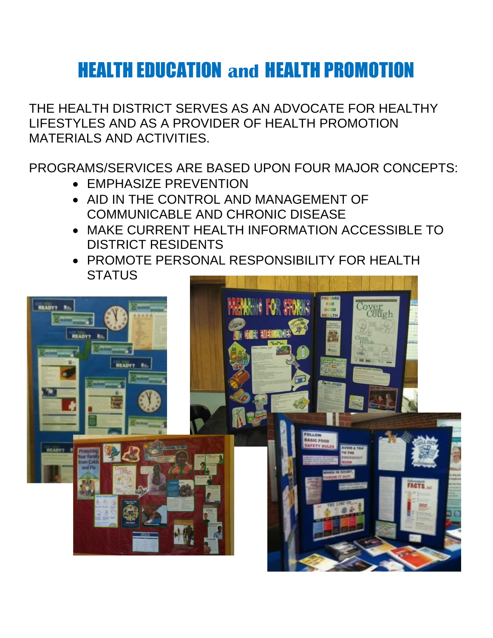# HEALTH EDUCATION **and** HEALTH PROMOTION

THE HEALTH DISTRICT SERVES AS AN ADVOCATE FOR HEALTHY LIFESTYLES AND AS A PROVIDER OF HEALTH PROMOTION MATERIALS AND ACTIVITIES.

PROGRAMS/SERVICES ARE BASED UPON FOUR MAJOR CONCEPTS:

- EMPHASIZE PREVENTION
- AID IN THE CONTROL AND MANAGEMENT OF COMMUNICABLE AND CHRONIC DISEASE
- MAKE CURRENT HEALTH INFORMATION ACCESSIBLE TO DISTRICT RESIDENTS
- PROMOTE PERSONAL RESPONSIBILITY FOR HEALTH **STATUS**

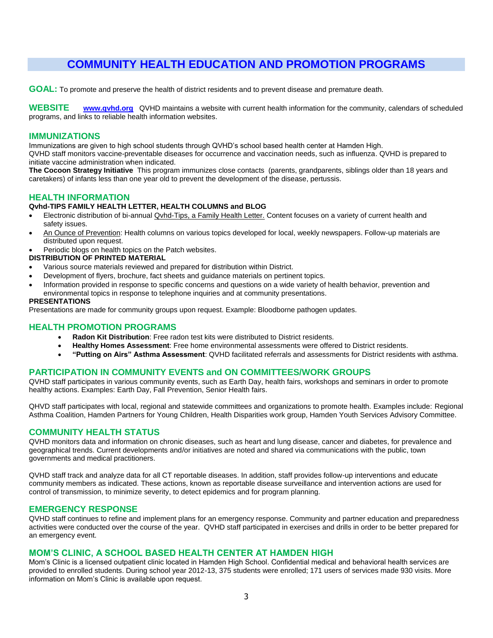## **COMMUNITY HEALTH EDUCATION AND PROMOTION PROGRAMS**

**GOAL:** To promote and preserve the health of district residents and to prevent disease and premature death.

**WEBSITE [www.qvhd.org](http://www.qvhd.org/)** QVHD maintains a website with current health information for the community, calendars of scheduled programs, and links to reliable health information websites.

#### **IMMUNIZATIONS**

Immunizations are given to high school students through QVHD's school based health center at Hamden High.

QVHD staff monitors vaccine-preventable diseases for occurrence and vaccination needs, such as influenza. QVHD is prepared to initiate vaccine administration when indicated.

**The Cocoon Strategy Initiative** This program immunizes close contacts (parents, grandparents, siblings older than 18 years and caretakers) of infants less than one year old to prevent the development of the disease, pertussis.

### **HEALTH INFORMATION**

#### **Qvhd-TIPS FAMILY HEALTH LETTER, HEALTH COLUMNS and BLOG**

- Electronic distribution of bi-annual Qvhd-Tips, a Family Health Letter. Content focuses on a variety of current health and safety issues.
- An Ounce of Prevention: Health columns on various topics developed for local, weekly newspapers. Follow-up materials are distributed upon request.
- Periodic blogs on health topics on the Patch websites.

#### **DISTRIBUTION OF PRINTED MATERIAL**

- Various source materials reviewed and prepared for distribution within District.
- Development of flyers, brochure, fact sheets and guidance materials on pertinent topics.
- Information provided in response to specific concerns and questions on a wide variety of health behavior, prevention and
- environmental topics in response to telephone inquiries and at community presentations.

#### **PRESENTATIONS**

Presentations are made for community groups upon request. Example: Bloodborne pathogen updates.

#### **HEALTH PROMOTION PROGRAMS**

- **Radon Kit Distribution**: Free radon test kits were distributed to District residents.
- **Healthy Homes Assessment**: Free home environmental assessments were offered to District residents.
- **"Putting on Airs" Asthma Assessment**: QVHD facilitated referrals and assessments for District residents with asthma.

### **PARTICIPATION IN COMMUNITY EVENTS and ON COMMITTEES/WORK GROUPS**

QVHD staff participates in various community events, such as Earth Day, health fairs, workshops and seminars in order to promote healthy actions. Examples: Earth Day, Fall Prevention, Senior Health fairs.

QHVD staff participates with local, regional and statewide committees and organizations to promote health. Examples include: Regional Asthma Coalition, Hamden Partners for Young Children, Health Disparities work group, Hamden Youth Services Advisory Committee.

#### **COMMUNITY HEALTH STATUS**

QVHD monitors data and information on chronic diseases, such as heart and lung disease, cancer and diabetes, for prevalence and geographical trends. Current developments and/or initiatives are noted and shared via communications with the public, town governments and medical practitioners.

QVHD staff track and analyze data for all CT reportable diseases. In addition, staff provides follow-up interventions and educate community members as indicated. These actions, known as reportable disease surveillance and intervention actions are used for control of transmission, to minimize severity, to detect epidemics and for program planning.

#### **EMERGENCY RESPONSE**

QVHD staff continues to refine and implement plans for an emergency response. Community and partner education and preparedness activities were conducted over the course of the year. QVHD staff participated in exercises and drills in order to be better prepared for an emergency event.

#### **MOM'S CLINIC, A SCHOOL BASED HEALTH CENTER AT HAMDEN HIGH**

Mom's Clinic is a licensed outpatient clinic located in Hamden High School. Confidential medical and behavioral health services are provided to enrolled students. During school year 2012-13, 375 students were enrolled; 171 users of services made 930 visits. More information on Mom's Clinic is available upon request.